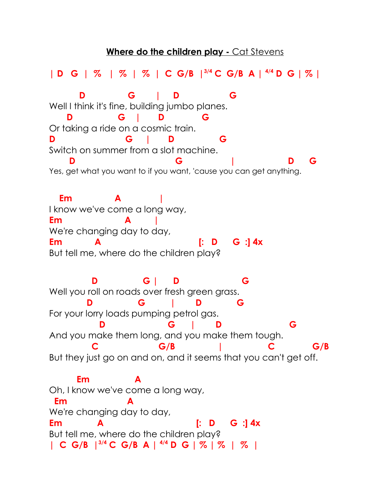## **Where do the children play - Cat Stevens**

**| D G | % | % | % | C G/B |3/4 C G/B A | 4/4 D G | % | D G | D G** Well I think it's fine, building jumbo planes.  **D G | D G** Or taking a ride on a cosmic train. **D G | D G** Switch on summer from a slot machine. **D G**  $\qquad$  **D G** Yes, get what you want to if you want, 'cause you can get anything.  **Em A |** I know we've come a long way, **Em A |** We're changing day to day, **Em A [: D G :] 4x**  But tell me, where do the children play?  **D G | D G** Well you roll on roads over fresh green grass.  **D G | D G** For your lorry loads pumping petrol gas.  **D G | D G** And you make them long, and you make them tough. **C** G/B | C G/B But they just go on and on, and it seems that you can't get off. **Em** Oh, I know we've come a long way,  $Em$ We're changing day to day, **Em A [: D G :] 4x** But tell me, where do the children play? **| C G/B |3/4 C G/B A | 4/4 D G | % | % | % |**